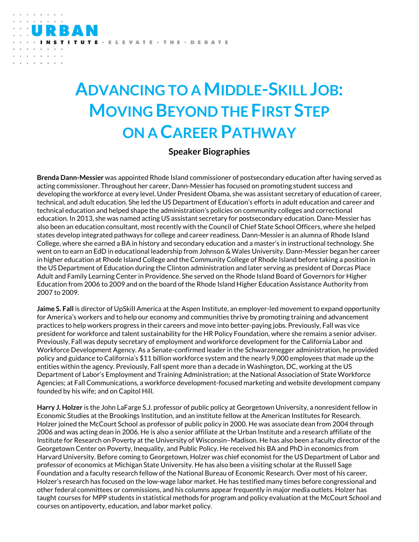TUTE · ELEVATE · THE · DEBATE

**TATN** 

## **ADVANCING TO A MIDDLE-SKILL JOB: MOVING BEYOND THE FIRST STEP ON A CAREER PATHWAY**

## **Speaker Biographies**

**Brenda Dann-Messier** was appointed Rhode Island commissioner of postsecondary education after having served as acting commissioner. Throughout her career, Dann-Messier has focused on promoting student success and developing the workforce at every level. Under President Obama, she was assistant secretary of education of career, technical, and adult education. She led the US Department of Education's efforts in adult education and career and technical education and helped shape the administration's policies on community colleges and correctional education. In 2013, she was named acting US assistant secretary for postsecondary education. Dann-Messier has also been an education consultant, most recently with the Council of Chief State School Officers, where she helped states develop integrated pathways for college and career readiness. Dann-Messier is an alumna of Rhode Island College, where she earned a BA in history and secondary education and a master's in instructional technology. She went on to earn an EdD in educational leadership from Johnson & Wales University. Dann-Messier began her career in higher education at Rhode Island College and the Community College of Rhode Island before taking a position in the US Department of Education during the Clinton administration and later serving as president of Dorcas Place Adult and Family Learning Center in Providence. She served on the Rhode Island Board of Governors for Higher Education from 2006 to 2009 and on the board of the Rhode Island Higher Education Assistance Authority from 2007 to 2009.

**Jaime S. Fall** is director of UpSkill America at the Aspen Institute, an employer-led movement to expand opportunity for America's workers and to help our economy and communities thrive by promoting training and advancement practices to help workers progress in their careers and move into better-paying jobs. Previously, Fall was vice president for workforce and talent sustainability for the HR Policy Foundation, where she remains a senior adviser. Previously, Fall was deputy secretary of employment and workforce development for the California Labor and Workforce Development Agency. As a Senate-confirmed leader in the Schwarzenegger administration, he provided policy and guidance to California's \$11 billion workforce system and the nearly 9,000 employees that made up the entities within the agency. Previously, Fall spent more than a decade in Washington, DC, working at the US Department of Labor's Employment and Training Administration; at the National Association of State Workforce Agencies; at Fall Communications, a workforce development-focused marketing and website development company founded by his wife; and on Capitol Hill.

**Harry J. Holzer** is the John LaFarge S.J. professor of public policy at Georgetown University, a nonresident fellow in Economic Studies at the Brookings Institution, and an institute fellow at the American Institutes for Research. Holzer joined the McCourt School as professor of public policy in 2000. He was associate dean from 2004 through 2006 and was acting dean in 2006. He is also a senior affiliate at the Urban Institute and a research affiliate of the Institute for Research on Poverty at the University of Wisconsin–Madison. He has also been a faculty director of the Georgetown Center on Poverty, Inequality, and Public Policy. He received his BA and PhD in economics from Harvard University. Before coming to Georgetown, Holzer was chief economist for the US Department of Labor and professor of economics at Michigan State University. He has also been a visiting scholar at the Russell Sage Foundation and a faculty research fellow of the National Bureau of Economic Research. Over most of his career, Holzer's research has focused on the low-wage labor market. He has testified many times before congressional and other federal committees or commissions, and his columns appear frequently in major media outlets. Holzer has taught courses for MPP students in statistical methods for program and policy evaluation at the McCourt School and courses on antipoverty, education, and labor market policy.